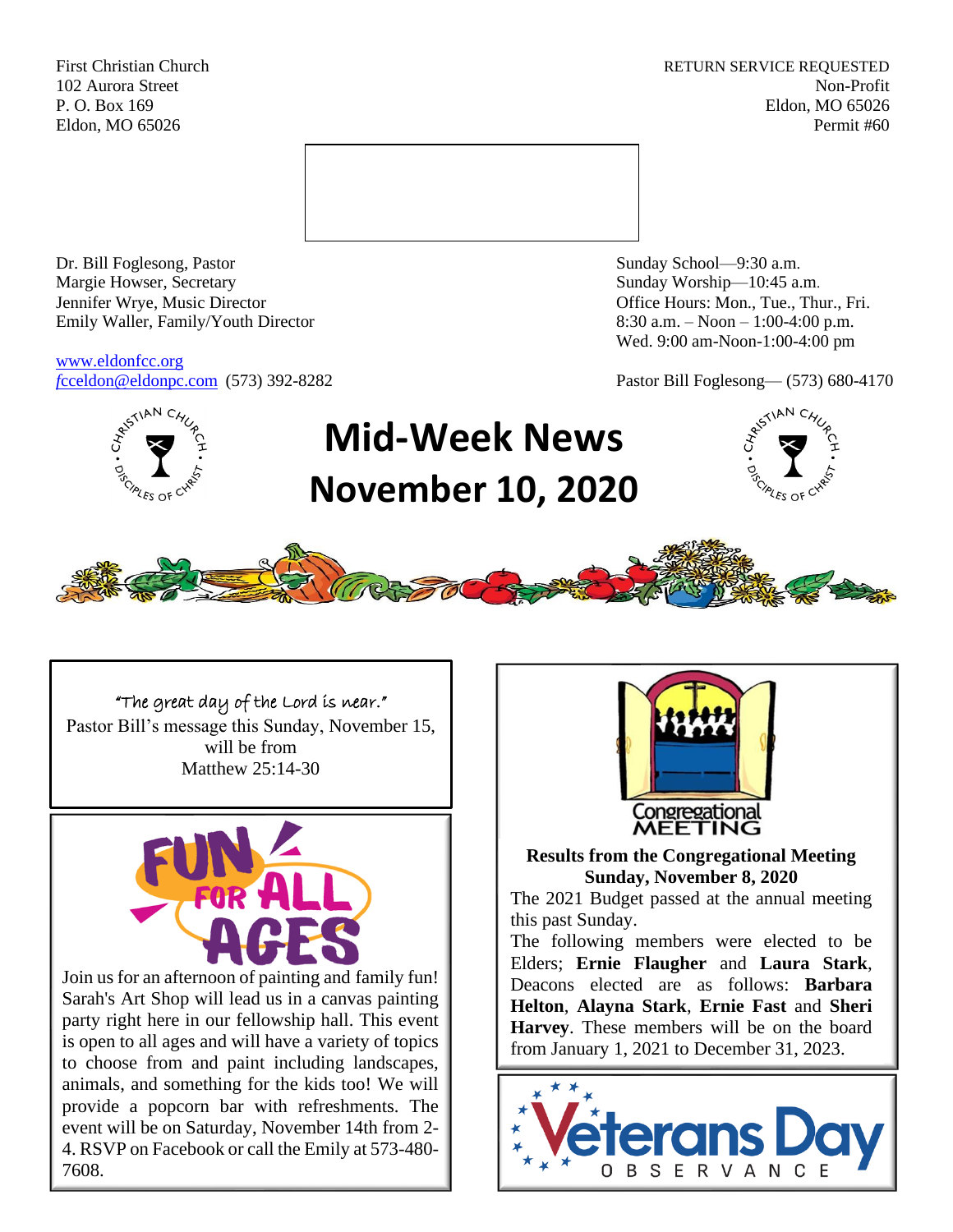First Christian Church **RETURN SERVICE REQUESTED** 102 Aurora Street Non-Profit P. O. Box 169 Eldon, MO 65026 Eldon, MO 65026 Permit #60



Dr. Bill Foglesong, Pastor Sunday School—9:30 a.m. Margie Howser, Secretary Sunday Worship—10:45 a.m. Jennifer Wrye, Music Director Office Hours: Mon., Tue., Thur., Fri. Emily Waller, Family/Youth Director 8:30 a.m. – Noon – 1:00-4:00 p.m.

[www.eldonfcc.org](http://www.eldonfcc.org/)

Wed. 9:00 am-Noon-1:00-4:00 pm

*f*[cceldon@eldonpc.com](mailto:fcceldon@eldonpc.com) (573) 392-8282 Pastor Bill Foglesong— (573) 680-4170



# **Mid-Week News November 10, 2020**





"The great day of the Lord is near." Pastor Bill's message this Sunday, November 15, will be from Matthew 25:14-30



Join us for an afternoon of painting and family fun! Sarah's Art Shop will lead us in a canvas painting party right here in our fellowship hall. This event is open to all ages and will have a variety of topics to choose from and paint including landscapes, animals, and something for the kids too! We will provide a popcorn bar with refreshments. The event will be on Saturday, November 14th from 2- 4. RSVP on Facebook or call the Emily at 573-480- 7608.



**Results from the Congregational Meeting Sunday, November 8, 2020**

The 2021 Budget passed at the annual meeting this past Sunday.

The following members were elected to be Elders; **Ernie Flaugher** and **Laura Stark**, Deacons elected are as follows: **Barbara Helton**, **Alayna Stark**, **Ernie Fast** and **Sheri Harvey**. These members will be on the board from January 1, 2021 to December 31, 2023.